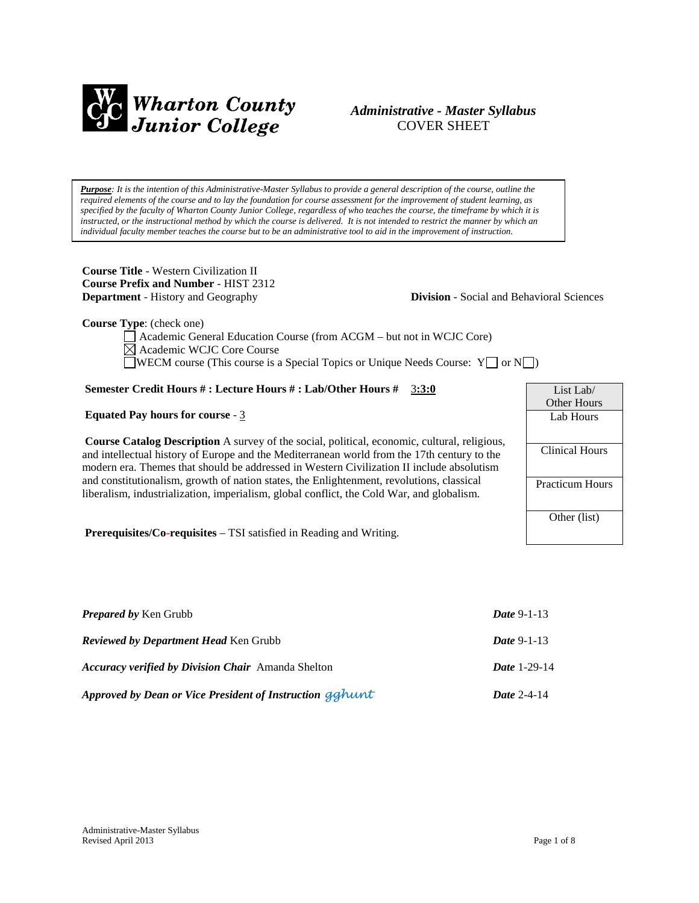

## *Administrative - Master Syllabus*  COVER SHEET

*Purpose: It is the intention of this Administrative-Master Syllabus to provide a general description of the course, outline the required elements of the course and to lay the foundation for course assessment for the improvement of student learning, as specified by the faculty of Wharton County Junior College, regardless of who teaches the course, the timeframe by which it is instructed, or the instructional method by which the course is delivered. It is not intended to restrict the manner by which an individual faculty member teaches the course but to be an administrative tool to aid in the improvement of instruction.*

**Course Title** - Western Civilization II **Course Prefix and Number** - HIST 2312 **Department** - History and Geography **Division** - Social and Behavioral Sciences

**Course Type**: (check one)

Academic General Education Course (from ACGM – but not in WCJC Core) Academic WCJC Core Course WECM course (This course is a Special Topics or Unique Needs Course:  $Y \cup \sigma N \cup$ )

## **Semester Credit Hours # : Lecture Hours # : Lab/Other Hours #** 3**:3:0**

#### **Equated Pay hours for course** - 3

**Course Catalog Description** A survey of the social, political, economic, cultural, religious, and intellectual history of Europe and the Mediterranean world from the 17th century to the modern era. Themes that should be addressed in Western Civilization II include absolutism and constitutionalism, growth of nation states, the Enlightenment, revolutions, classical liberalism, industrialization, imperialism, global conflict, the Cold War, and globalism.

**Prerequisites/Co-requisites** – TSI satisfied in Reading and Writing.

| <b>Prepared by Ken Grubb</b>                              | <i>Date</i> 9-1-13  |
|-----------------------------------------------------------|---------------------|
| <b>Reviewed by Department Head Ken Grubb</b>              | <i>Date</i> 9-1-13  |
| <b>Accuracy verified by Division Chair</b> Amanda Shelton | <b>Date 1-29-14</b> |
| Approved by Dean or Vice President of Instruction gghunt  | Date $2-4-14$       |

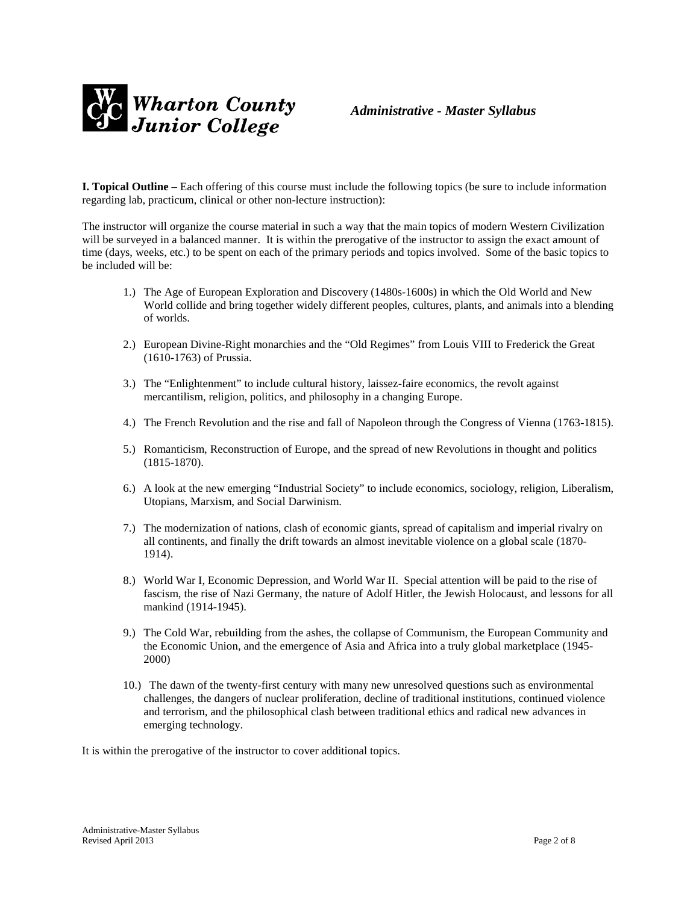

*Administrative - Master Syllabus* 

**I. Topical Outline** – Each offering of this course must include the following topics (be sure to include information regarding lab, practicum, clinical or other non-lecture instruction):

The instructor will organize the course material in such a way that the main topics of modern Western Civilization will be surveyed in a balanced manner. It is within the prerogative of the instructor to assign the exact amount of time (days, weeks, etc.) to be spent on each of the primary periods and topics involved. Some of the basic topics to be included will be:

- 1.) The Age of European Exploration and Discovery (1480s-1600s) in which the Old World and New World collide and bring together widely different peoples, cultures, plants, and animals into a blending of worlds.
- 2.) European Divine-Right monarchies and the "Old Regimes" from Louis VIII to Frederick the Great (1610-1763) of Prussia.
- 3.) The "Enlightenment" to include cultural history, laissez-faire economics, the revolt against mercantilism, religion, politics, and philosophy in a changing Europe.
- 4.) The French Revolution and the rise and fall of Napoleon through the Congress of Vienna (1763-1815).
- 5.) Romanticism, Reconstruction of Europe, and the spread of new Revolutions in thought and politics (1815-1870).
- 6.) A look at the new emerging "Industrial Society" to include economics, sociology, religion, Liberalism, Utopians, Marxism, and Social Darwinism.
- 7.) The modernization of nations, clash of economic giants, spread of capitalism and imperial rivalry on all continents, and finally the drift towards an almost inevitable violence on a global scale (1870- 1914).
- 8.) World War I, Economic Depression, and World War II. Special attention will be paid to the rise of fascism, the rise of Nazi Germany, the nature of Adolf Hitler, the Jewish Holocaust, and lessons for all mankind (1914-1945).
- 9.) The Cold War, rebuilding from the ashes, the collapse of Communism, the European Community and the Economic Union, and the emergence of Asia and Africa into a truly global marketplace (1945- 2000)
- 10.) The dawn of the twenty-first century with many new unresolved questions such as environmental challenges, the dangers of nuclear proliferation, decline of traditional institutions, continued violence and terrorism, and the philosophical clash between traditional ethics and radical new advances in emerging technology.

It is within the prerogative of the instructor to cover additional topics.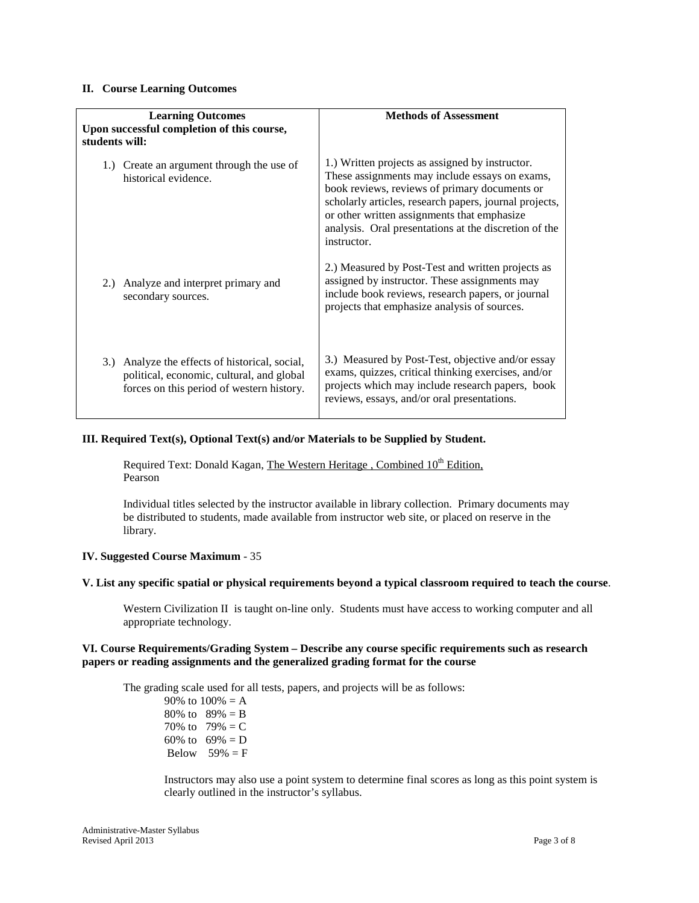#### **II. Course Learning Outcomes**

| <b>Learning Outcomes</b><br>Upon successful completion of this course,<br>students will:                                                 | <b>Methods of Assessment</b>                                                                                                                                                                                                                                                                                                        |
|------------------------------------------------------------------------------------------------------------------------------------------|-------------------------------------------------------------------------------------------------------------------------------------------------------------------------------------------------------------------------------------------------------------------------------------------------------------------------------------|
| 1.) Create an argument through the use of<br>historical evidence.                                                                        | 1.) Written projects as assigned by instructor.<br>These assignments may include essays on exams,<br>book reviews, reviews of primary documents or<br>scholarly articles, research papers, journal projects,<br>or other written assignments that emphasize<br>analysis. Oral presentations at the discretion of the<br>instructor. |
| 2.) Analyze and interpret primary and<br>secondary sources.                                                                              | 2.) Measured by Post-Test and written projects as<br>assigned by instructor. These assignments may<br>include book reviews, research papers, or journal<br>projects that emphasize analysis of sources.                                                                                                                             |
| 3.) Analyze the effects of historical, social,<br>political, economic, cultural, and global<br>forces on this period of western history. | 3.) Measured by Post-Test, objective and/or essay<br>exams, quizzes, critical thinking exercises, and/or<br>projects which may include research papers, book<br>reviews, essays, and/or oral presentations.                                                                                                                         |

## **III. Required Text(s), Optional Text(s) and/or Materials to be Supplied by Student.**

Required Text: Donald Kagan, The Western Heritage, Combined 10<sup>th</sup> Edition, Pearson

Individual titles selected by the instructor available in library collection. Primary documents may be distributed to students, made available from instructor web site, or placed on reserve in the library.

#### **IV. Suggested Course Maximum** - 35

#### **V. List any specific spatial or physical requirements beyond a typical classroom required to teach the course**.

Western Civilization II is taught on-line only. Students must have access to working computer and all appropriate technology.

#### **VI. Course Requirements/Grading System – Describe any course specific requirements such as research papers or reading assignments and the generalized grading format for the course**

The grading scale used for all tests, papers, and projects will be as follows:

90% to  $100% = A$ 80% to  $89% = B$ 70% to  $79% = C$ 60% to  $69\% = D$ Below  $59\% = F$ 

Instructors may also use a point system to determine final scores as long as this point system is clearly outlined in the instructor's syllabus.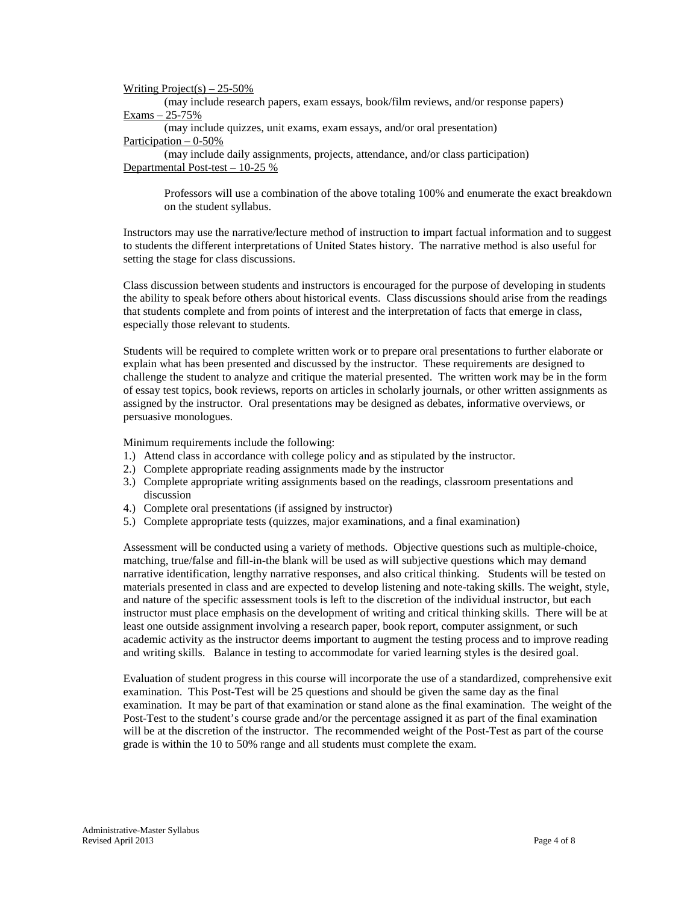## Writing  $Project(s) - 25-50\%$

(may include research papers, exam essays, book/film reviews, and/or response papers) Exams – 25-75%

(may include quizzes, unit exams, exam essays, and/or oral presentation) Participation – 0-50%

(may include daily assignments, projects, attendance, and/or class participation) Departmental Post-test – 10-25 %

Professors will use a combination of the above totaling 100% and enumerate the exact breakdown on the student syllabus.

Instructors may use the narrative/lecture method of instruction to impart factual information and to suggest to students the different interpretations of United States history. The narrative method is also useful for setting the stage for class discussions.

Class discussion between students and instructors is encouraged for the purpose of developing in students the ability to speak before others about historical events. Class discussions should arise from the readings that students complete and from points of interest and the interpretation of facts that emerge in class, especially those relevant to students.

Students will be required to complete written work or to prepare oral presentations to further elaborate or explain what has been presented and discussed by the instructor. These requirements are designed to challenge the student to analyze and critique the material presented. The written work may be in the form of essay test topics, book reviews, reports on articles in scholarly journals, or other written assignments as assigned by the instructor. Oral presentations may be designed as debates, informative overviews, or persuasive monologues.

Minimum requirements include the following:

- 1.) Attend class in accordance with college policy and as stipulated by the instructor.
- 2.) Complete appropriate reading assignments made by the instructor
- 3.) Complete appropriate writing assignments based on the readings, classroom presentations and discussion
- 4.) Complete oral presentations (if assigned by instructor)
- 5.) Complete appropriate tests (quizzes, major examinations, and a final examination)

Assessment will be conducted using a variety of methods. Objective questions such as multiple-choice, matching, true/false and fill-in-the blank will be used as will subjective questions which may demand narrative identification, lengthy narrative responses, and also critical thinking. Students will be tested on materials presented in class and are expected to develop listening and note-taking skills. The weight, style, and nature of the specific assessment tools is left to the discretion of the individual instructor, but each instructor must place emphasis on the development of writing and critical thinking skills. There will be at least one outside assignment involving a research paper, book report, computer assignment, or such academic activity as the instructor deems important to augment the testing process and to improve reading and writing skills. Balance in testing to accommodate for varied learning styles is the desired goal.

Evaluation of student progress in this course will incorporate the use of a standardized, comprehensive exit examination. This Post-Test will be 25 questions and should be given the same day as the final examination. It may be part of that examination or stand alone as the final examination. The weight of the Post-Test to the student's course grade and/or the percentage assigned it as part of the final examination will be at the discretion of the instructor. The recommended weight of the Post-Test as part of the course grade is within the 10 to 50% range and all students must complete the exam.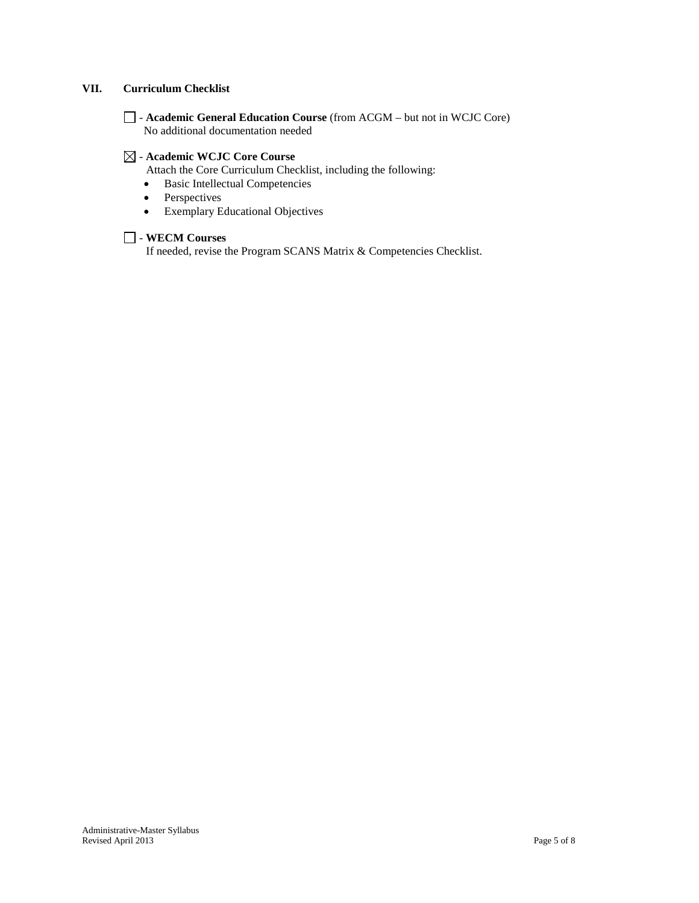## **VII. Curriculum Checklist**

- **Academic General Education Course** (from ACGM – but not in WCJC Core) No additional documentation needed

## - **Academic WCJC Core Course**

Attach the Core Curriculum Checklist, including the following:

- Basic Intellectual Competencies
- Perspectives
- Exemplary Educational Objectives

## - **WECM Courses**

If needed, revise the Program SCANS Matrix & Competencies Checklist.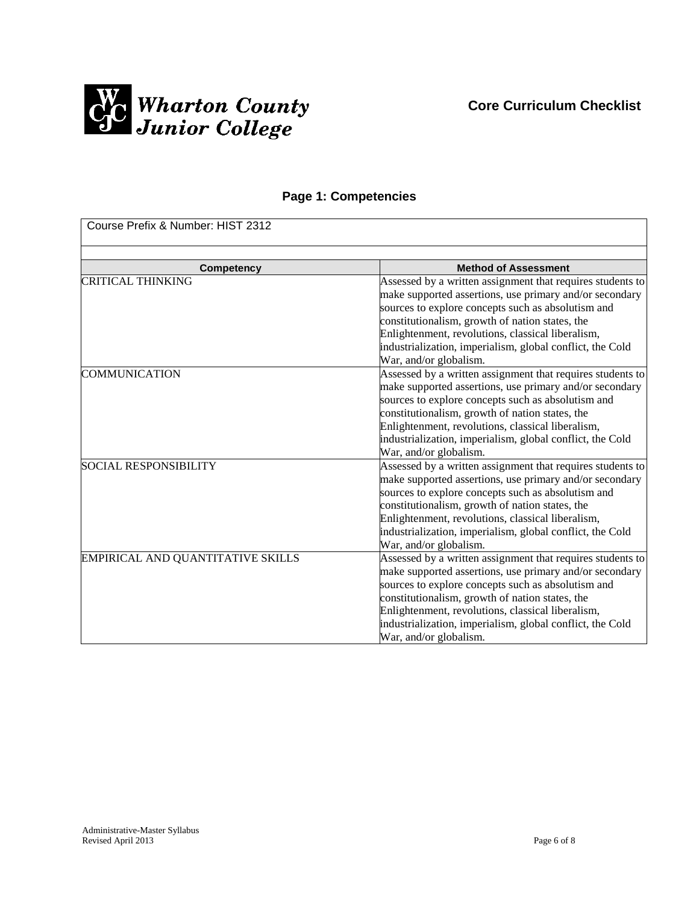

**Core Curriculum Checklist**

# **Page 1: Competencies**

| Course Prefix & Number: HIST 2312 |                                                                                                                                                                                                                                                                                                                                                                            |  |
|-----------------------------------|----------------------------------------------------------------------------------------------------------------------------------------------------------------------------------------------------------------------------------------------------------------------------------------------------------------------------------------------------------------------------|--|
| Competency                        | <b>Method of Assessment</b>                                                                                                                                                                                                                                                                                                                                                |  |
| <b>CRITICAL THINKING</b>          | Assessed by a written assignment that requires students to<br>make supported assertions, use primary and/or secondary<br>sources to explore concepts such as absolutism and<br>constitutionalism, growth of nation states, the<br>Enlightenment, revolutions, classical liberalism,<br>industrialization, imperialism, global conflict, the Cold<br>War, and/or globalism. |  |
| <b>COMMUNICATION</b>              | Assessed by a written assignment that requires students to<br>make supported assertions, use primary and/or secondary<br>sources to explore concepts such as absolutism and<br>constitutionalism, growth of nation states, the<br>Enlightenment, revolutions, classical liberalism,<br>industrialization, imperialism, global conflict, the Cold<br>War, and/or globalism. |  |
| <b>SOCIAL RESPONSIBILITY</b>      | Assessed by a written assignment that requires students to<br>make supported assertions, use primary and/or secondary<br>sources to explore concepts such as absolutism and<br>constitutionalism, growth of nation states, the<br>Enlightenment, revolutions, classical liberalism,<br>industrialization, imperialism, global conflict, the Cold<br>War, and/or globalism. |  |
| EMPIRICAL AND QUANTITATIVE SKILLS | Assessed by a written assignment that requires students to<br>make supported assertions, use primary and/or secondary<br>sources to explore concepts such as absolutism and<br>constitutionalism, growth of nation states, the<br>Enlightenment, revolutions, classical liberalism,<br>industrialization, imperialism, global conflict, the Cold<br>War, and/or globalism. |  |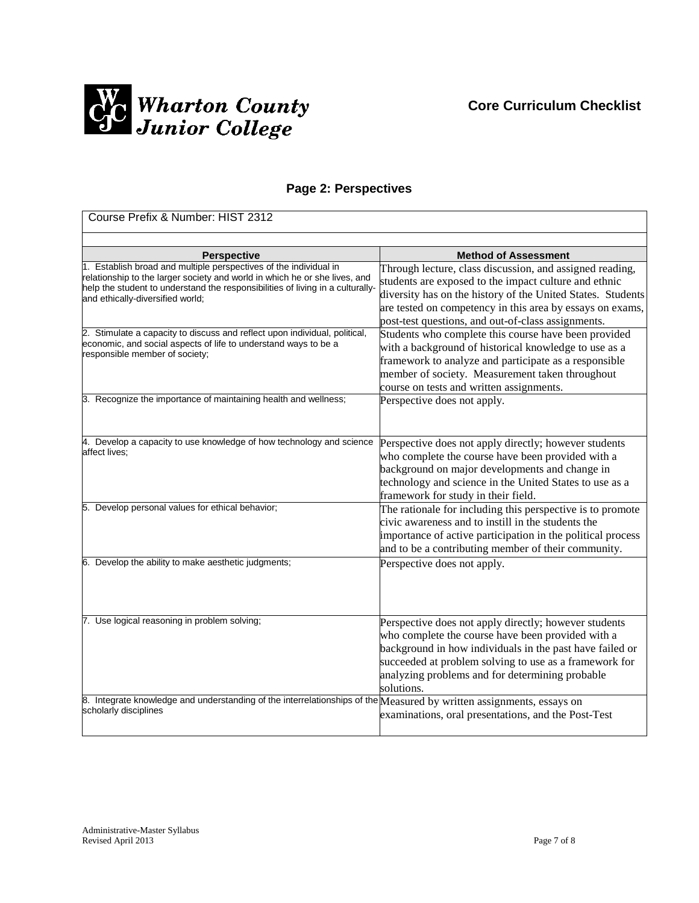

# **Page 2: Perspectives**

| Course Prefix & Number: HIST 2312                                                                                                                                                                                                                                     |                                                                                                                                                                                                                                                                                                     |  |
|-----------------------------------------------------------------------------------------------------------------------------------------------------------------------------------------------------------------------------------------------------------------------|-----------------------------------------------------------------------------------------------------------------------------------------------------------------------------------------------------------------------------------------------------------------------------------------------------|--|
|                                                                                                                                                                                                                                                                       |                                                                                                                                                                                                                                                                                                     |  |
| <b>Perspective</b>                                                                                                                                                                                                                                                    | <b>Method of Assessment</b>                                                                                                                                                                                                                                                                         |  |
| 1. Establish broad and multiple perspectives of the individual in<br>relationship to the larger society and world in which he or she lives, and<br>help the student to understand the responsibilities of living in a culturally-<br>and ethically-diversified world; | Through lecture, class discussion, and assigned reading,<br>students are exposed to the impact culture and ethnic<br>diversity has on the history of the United States. Students<br>are tested on competency in this area by essays on exams,<br>post-test questions, and out-of-class assignments. |  |
| 2. Stimulate a capacity to discuss and reflect upon individual, political,<br>economic, and social aspects of life to understand ways to be a<br>responsible member of society;                                                                                       | Students who complete this course have been provided<br>with a background of historical knowledge to use as a<br>framework to analyze and participate as a responsible<br>member of society. Measurement taken throughout<br>course on tests and written assignments.                               |  |
| 3. Recognize the importance of maintaining health and wellness;                                                                                                                                                                                                       | Perspective does not apply.                                                                                                                                                                                                                                                                         |  |
| 4. Develop a capacity to use knowledge of how technology and science<br>affect lives;                                                                                                                                                                                 | Perspective does not apply directly; however students<br>who complete the course have been provided with a<br>background on major developments and change in<br>technology and science in the United States to use as a<br>framework for study in their field.                                      |  |
| 5. Develop personal values for ethical behavior;                                                                                                                                                                                                                      | The rationale for including this perspective is to promote<br>civic awareness and to instill in the students the<br>importance of active participation in the political process<br>and to be a contributing member of their community.                                                              |  |
| 6. Develop the ability to make aesthetic judgments;                                                                                                                                                                                                                   | Perspective does not apply.                                                                                                                                                                                                                                                                         |  |
| 7. Use logical reasoning in problem solving;                                                                                                                                                                                                                          | Perspective does not apply directly; however students<br>who complete the course have been provided with a<br>background in how individuals in the past have failed or<br>succeeded at problem solving to use as a framework for<br>analyzing problems and for determining probable<br>solutions.   |  |
| 8. Integrate knowledge and understanding of the interrelationships of the $Me$ asured by written assignments, essays on<br>scholarly disciplines                                                                                                                      | examinations, oral presentations, and the Post-Test                                                                                                                                                                                                                                                 |  |